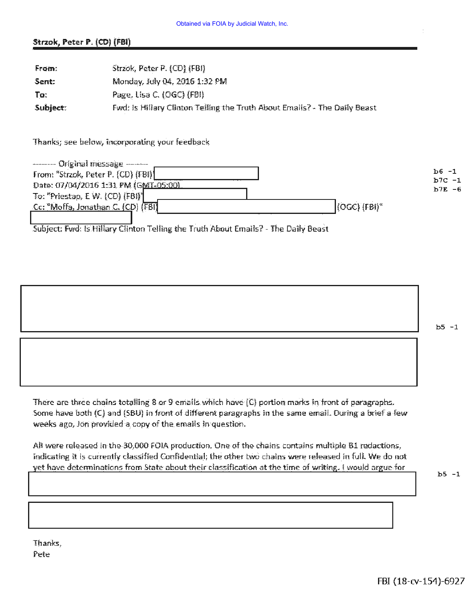### Strzok, Peter P. (CD) (FBI)

| From:    | Strzok, Peter P. (CD) (FBI)                                               |
|----------|---------------------------------------------------------------------------|
| Sent:    | Monday, July 04, 2016 1:32 PM                                             |
| To:      | Page, Lisa C. (OGC) (FBI)                                                 |
| Subject: | Fwd: Is Hillary Clinton Telling the Truth About Emails? - The Daily Beast |

Thanks; see below, incorporating your feedback



Subject: Fwd: Is Hillary Clinton Telling the Truth About Emails? - The Daily Beast

 $b5 - 1$ 

There are three chains totalling 8 or 9 emails which have (C) portion marks in front of paragraphs. Some have both (C) and (SBU) in front of different paragraphs in the same email. During a brief a few weeks ago, ion provided a copy of the emails in question.

All were released in the 30,000 FOIA production. One of the chains contains multiple B1 redactions, indicating it is currently classified Confidential; the other two chains were released in full. We do not yet have determinations from State about their classification at the time of writing. I would argue for

 $b5 - 1$ 

Thanks, Pete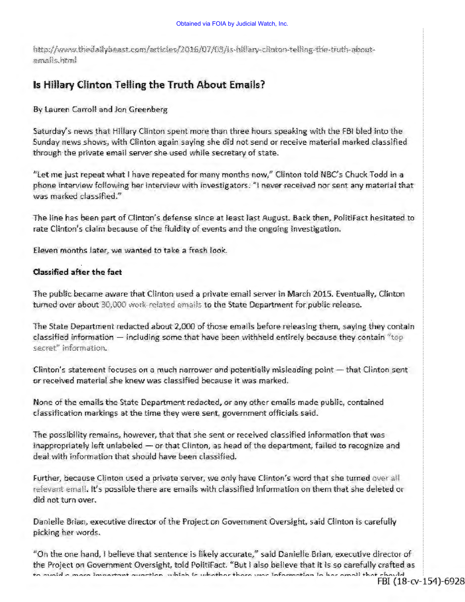http://www.thedailybeast.com/articles/2016/07/03/is-hiflary-clinton-telling-the-truth-aboutimmi güama

# Is Hillary Clinton Telling the Truth About Emails?

By Lauren Carroll and Jon Greenberg

Saturday's news that Hillary Clinton spent more than three hours speaking with the FBI bled into the Sunday news shows, with Clinton again saying she did not send or receive material marked classified through the private email server she used while secretary of state.

"Let me just repeat what I have repeated for many months now," Clinton told NBC's Chuck Todd in a phone interview following her interview with investigators. "I never received nor sent any material that was marked classified."

The line has been part of Clinton's defense since at least last August. Back then, PolitiFact hesitated to rate Clinton's claim because of the fluidity of events and the ongoing investigation.

Eleven months later, we wanted to take a fresh look.

### Classified after the fact

The public became aware that Clinton used a private email server in March 2015. Eventually, Clinton turned over about 30,000 work-related emails to the State Department for public release.

The State Department redacted about 2,000 of those emails before releasing them, saying they contain classified information - including some that have been withheld entirely because they contain "top secret" information.

Clinton's statement focuses on a much narrower and potentially misleading point - that Clinton sent or received material she knew was classified because it was marked.

None of the emails the State Department redacted, or any other emails made public, contained classification markings at the time they were sent, government officials said.

The possibility remains, however, that that she sent or received classified information that was inappropriately left unlabeled - or that Clinton, as head of the department, failed to recognize and deal with information that should have been classified.

Further, because Clinton used a private server, we only have Clinton's word that she turned over all relevant email. It's possible there are emails with classified information on them that she deleted or did not turn over.

Danielle Brian, executive director of the Project on Government Oversight, said Clinton is carefully picking her words.

"On the one hand, I believe that sentence is likely accurate," said Danielle Brian, executive director of the Project on Government Oversight, told PolitiFact. "But I also believe that it is so carefully crafted as en music in mour immersions oursetten withink to whether there were information in have small that chauded FBI (18-CV-154)-6928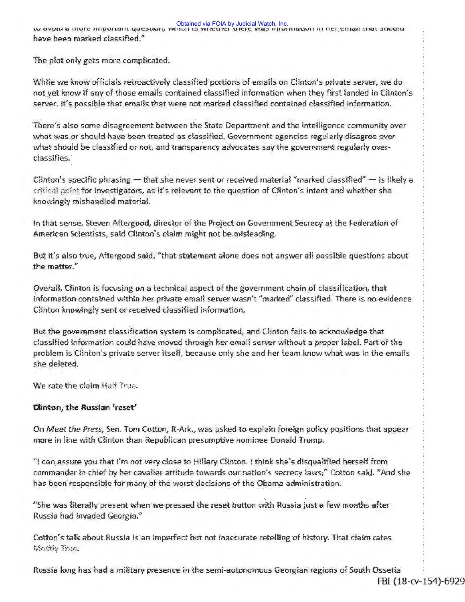Obtained via FOIA by Judicial Watch, Inc.<br>W avveu a more movement question, which is whether there was movement in her entan that shown have been marked classified."

The plot only gets more complicated.

While we know officials retroactively classified portions of emails on Clinton's private server, we do not vet know if any of those emails contained classified information when they first landed in Clinton's server. It's possible that emails that were not marked classified contained classified information.

There's also some disagreement between the State Department and the intelligence community over what was or should have been treated as classified. Government agencies regularly disagree over what should be classified or not, and transparency advocates say the government regularly overclassifies.

Clinton's specific phrasing  $-$  that she never sent or received material "marked classified"  $-$  is likely a critical point for investigators, as it's relevant to the question of Clinton's intent and whether she knowingly mishandled material.

In that sense, Steven Aftergood, director of the Project on Government Secrecy at the Federation of American Scientists, said Clinton's claim might not be misleading.

But it's also true, Aftergood said, "that statement alone does not answer all possible questions about the matter."

Overall, Clinton is focusing on a technical aspect of the government chain of classification, that Information contained within her private email server wasn't "marked" classified. There is no evidence Clinton knowingly sent or received classified information.

But the government classification system is complicated, and Clinton fails to acknowledge that classified information could have moved through her email server without a proper label. Part of the problem is Clinton's private server itself, because only she and her team know what was in the emails she deleted.

We rate the claim Half True.

## Clinton, the Russian 'reset'

On Meet the Press, Sen. Tom Cotton, R-Ark., was asked to explain foreign policy positions that appear more in line with Clinton than Republican presumptive nominee Donald Trump.

it can assure you that I'm not very close to Hillary Clinton. I think she's disqualified herself from " commander in chief by her cavalier attitude towards our nation's secrecy laws," Cotton said. "And she has been responsible for many of the worst decisions of the Obama administration.

"She was literally present when we pressed the reset button with Russia just a few months after Russia had invaded Georgia."

Cotton's talk about Russia is an imperfect but not inaccurate retelling of history. That claim rates Mostly True.

Russia long has had a military presence in the semi-autonomous Georgian regions of South Ossetia